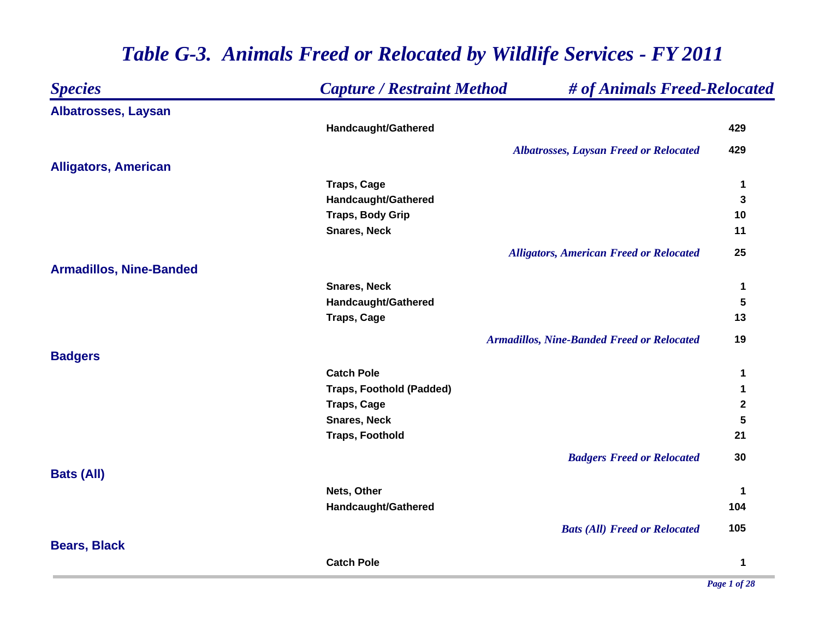| <b>Species</b>                 | <b>Capture / Restraint Method</b> | # of Animals Freed-Relocated                      |             |
|--------------------------------|-----------------------------------|---------------------------------------------------|-------------|
| Albatrosses, Laysan            |                                   |                                                   |             |
|                                | Handcaught/Gathered               |                                                   | 429         |
|                                |                                   | <b>Albatrosses, Laysan Freed or Relocated</b>     | 429         |
| <b>Alligators, American</b>    |                                   |                                                   |             |
|                                | <b>Traps, Cage</b>                |                                                   | 1           |
|                                | Handcaught/Gathered               |                                                   | 3           |
|                                | <b>Traps, Body Grip</b>           |                                                   | 10          |
|                                | <b>Snares, Neck</b>               |                                                   | 11          |
|                                |                                   | <b>Alligators, American Freed or Relocated</b>    | 25          |
| <b>Armadillos, Nine-Banded</b> |                                   |                                                   |             |
|                                | <b>Snares, Neck</b>               |                                                   | 1           |
|                                | Handcaught/Gathered               |                                                   | 5           |
|                                | <b>Traps, Cage</b>                |                                                   | 13          |
|                                |                                   | <b>Armadillos, Nine-Banded Freed or Relocated</b> | 19          |
| <b>Badgers</b>                 |                                   |                                                   |             |
|                                | <b>Catch Pole</b>                 |                                                   | 1           |
|                                | <b>Traps, Foothold (Padded)</b>   |                                                   | 1           |
|                                | <b>Traps, Cage</b>                |                                                   | $\mathbf 2$ |
|                                | <b>Snares, Neck</b>               |                                                   | 5           |
|                                | <b>Traps, Foothold</b>            |                                                   | 21          |
|                                |                                   | <b>Badgers Freed or Relocated</b>                 | 30          |
| <b>Bats (All)</b>              |                                   |                                                   |             |
|                                | Nets, Other                       |                                                   | 1           |
|                                | Handcaught/Gathered               |                                                   | 104         |
|                                |                                   | <b>Bats (All) Freed or Relocated</b>              | 105         |
| <b>Bears, Black</b>            |                                   |                                                   |             |
|                                | <b>Catch Pole</b>                 |                                                   | 1           |
|                                |                                   |                                                   |             |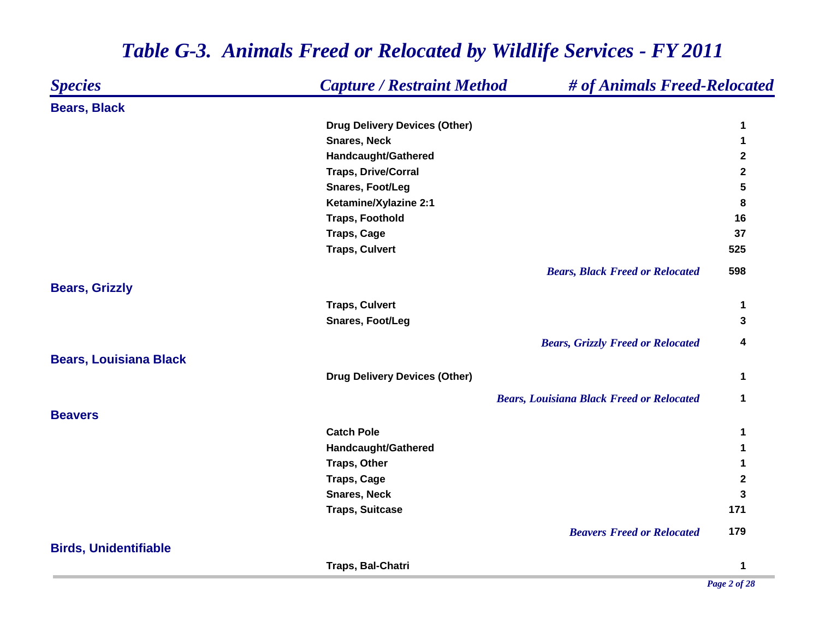#### *Species Capture / Restraint Method # of Animals Freed-Relocated* **Bears, Black Drug Delivery Devices (Other) 1 Snares, Neck 1 Handcaught/Gathered 2 Traps, Drive/Corral 2 Snares, Foot/Leg 5 Ketamine/Xylazine 2:1 8 Traps, Foothold 16 Traps, Cage 37 Traps, Culvert 525** *Bears, Black Freed or Relocated* **598 Bears, Grizzly Traps, Culvert 1 Snares, Foot/Leg 3** *Bears, Grizzly Freed or Relocated***4Bears, Louisiana Black Drug Delivery Devices (Other) 1** *Bears, Louisiana Black Freed or Relocated* **1 BeaversCatch Pole 1 Handcaught/Gathered 1 Traps, Other 1 Traps, Cage 2Snares, Neck 3Traps, Suitcase 171** *BeaversFreed or Relocated* **179 Birds, Unidentifiable Traps, Bal-Chatri 1**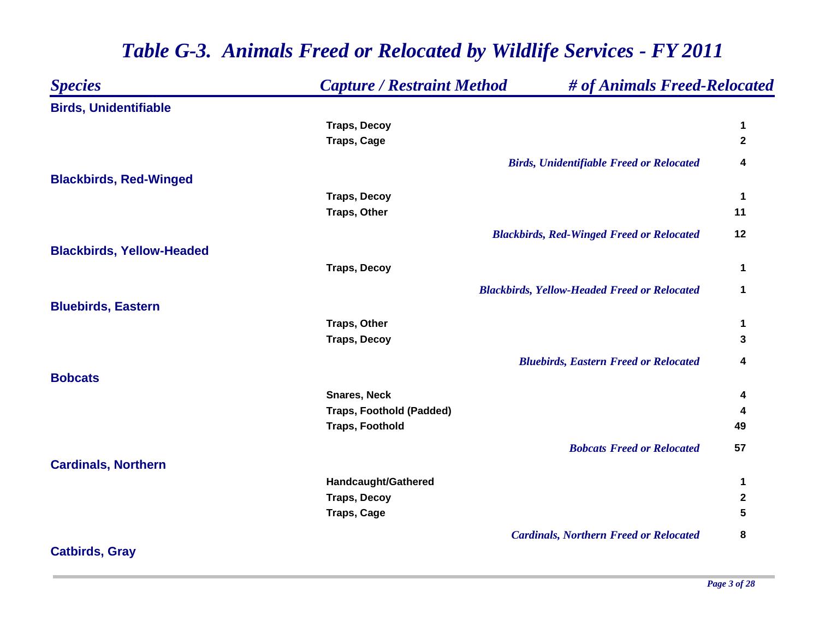| <b>Species</b>                   | <b>Capture / Restraint Method</b> | # of Animals Freed-Relocated                        |             |
|----------------------------------|-----------------------------------|-----------------------------------------------------|-------------|
| <b>Birds, Unidentifiable</b>     |                                   |                                                     |             |
|                                  | <b>Traps, Decoy</b>               |                                                     | 1           |
|                                  | <b>Traps, Cage</b>                |                                                     | $\mathbf 2$ |
|                                  |                                   | <b>Birds, Unidentifiable Freed or Relocated</b>     | 4           |
| <b>Blackbirds, Red-Winged</b>    |                                   |                                                     |             |
|                                  | <b>Traps, Decoy</b>               |                                                     | $\mathbf 1$ |
|                                  | <b>Traps, Other</b>               |                                                     | 11          |
|                                  |                                   | <b>Blackbirds, Red-Winged Freed or Relocated</b>    | 12          |
| <b>Blackbirds, Yellow-Headed</b> |                                   |                                                     |             |
|                                  | <b>Traps, Decoy</b>               |                                                     | 1           |
|                                  |                                   | <b>Blackbirds, Yellow-Headed Freed or Relocated</b> | 1           |
| <b>Bluebirds, Eastern</b>        |                                   |                                                     |             |
|                                  | <b>Traps, Other</b>               |                                                     | 1           |
|                                  | <b>Traps, Decoy</b>               |                                                     | 3           |
|                                  |                                   | <b>Bluebirds, Eastern Freed or Relocated</b>        | 4           |
| <b>Bobcats</b>                   |                                   |                                                     |             |
|                                  | <b>Snares, Neck</b>               |                                                     | 4           |
|                                  | <b>Traps, Foothold (Padded)</b>   |                                                     | 4           |
|                                  | <b>Traps, Foothold</b>            |                                                     | 49          |
|                                  |                                   | <b>Bobcats Freed or Relocated</b>                   | 57          |
| <b>Cardinals, Northern</b>       |                                   |                                                     |             |
|                                  | Handcaught/Gathered               |                                                     | 1           |
|                                  | <b>Traps, Decoy</b>               |                                                     | $\mathbf 2$ |
|                                  | <b>Traps, Cage</b>                |                                                     | 5           |
|                                  |                                   | <b>Cardinals, Northern Freed or Relocated</b>       | 8           |
| <b>Catbirds, Gray</b>            |                                   |                                                     |             |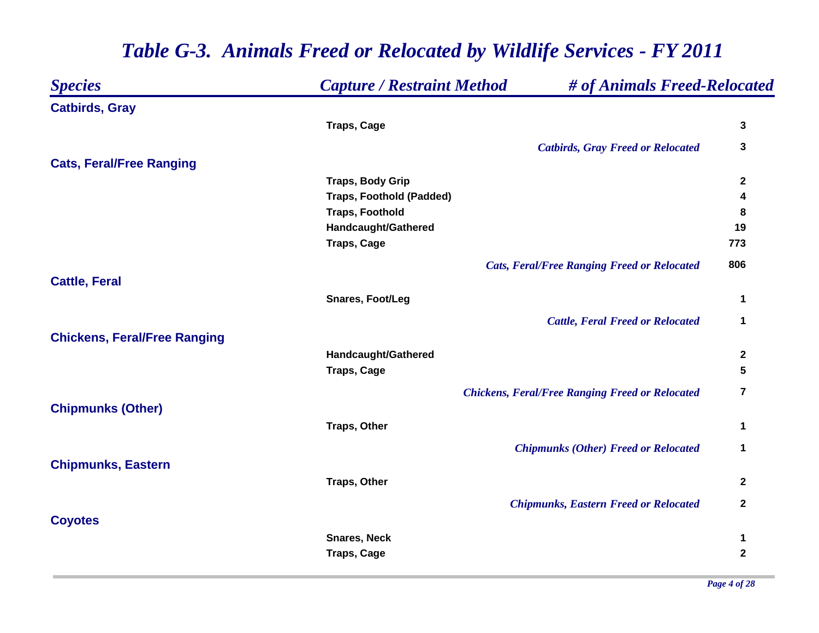#### *Species Capture / Restraint Method # of Animals Freed-Relocated* **Catbirds, Gray Traps, Cage 3***Catbirds, Gray Freed or Relocated* **3Cats, Feral/Free Ranging Traps, Body Grip 2 Traps, Foothold (Padded) 4 Traps, Foothold 8Handcaught/Gathered 19 Traps, Cage 773** *Cats, Feral/Free Ranging Freed or Relocated* **806 Cattle, Feral Snares, Foot/Leg 1** *Cattle, Feral Freed or Relocated* **1 Chickens, Feral/Free Ranging Handcaught/Gathered 2 Traps, Cage 5***Chickens, Feral/Free Ranging Freed or Relocated***7Chipmunks (Other) Traps, Other 1** *Chipmunks (Other) Freed or Relocated* **1 Chipmunks, Eastern Traps, Other 2***Chipmunks, Eastern Freed or Relocated***2Coyotes Snares, Neck 1 Traps, Cage 2**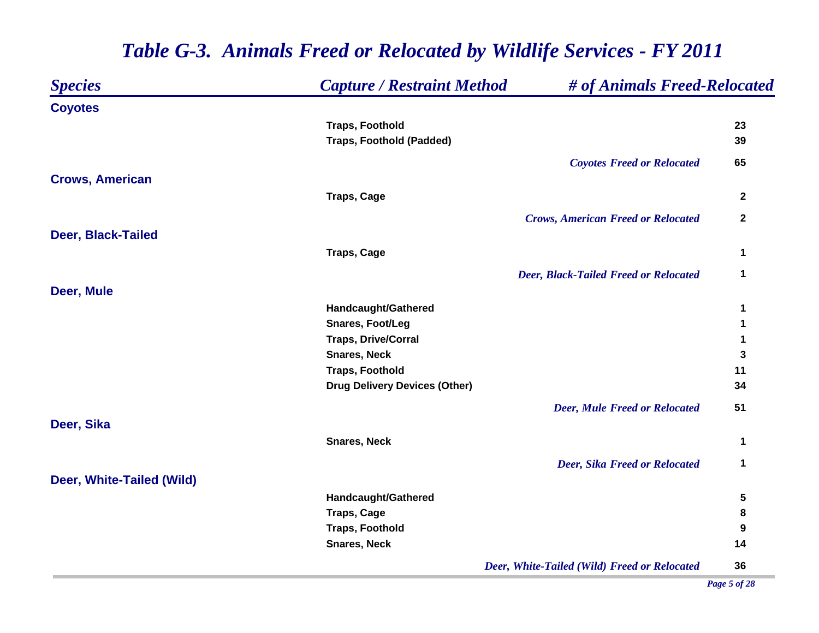#### *Species Capture / Restraint Method # of Animals Freed-Relocated* **Coyotes Traps, Foothold 23 Traps, Foothold (Padded) 39** *Coyotes Freed or Relocated* **65 Crows, American Traps, Cage 2***Crows, American Freed or Relocated* **2Deer, Black-Tailed Traps, Cage 1** *Deer, Black-Tailed Freed or Relocated* **1 Deer, Mule Handcaught/Gathered 1 Snares, Foot/Leg 1 Traps, Drive/Corral 1 Snares, Neck 3Traps, Foothold 11 Drug Delivery Devices (Other) 34** *Deer, Mule Freed or Relocated* **51 Deer, Sika Snares, Neck 1** *Deer, Sika Freed or Relocated* **1 Deer, White-Tailed (Wild) Handcaught/Gathered 5 Traps, Cage 8Traps, Foothold 9Snares, Neck 14** *Deer, White-Tailed (Wild) Freed or Relocated***36**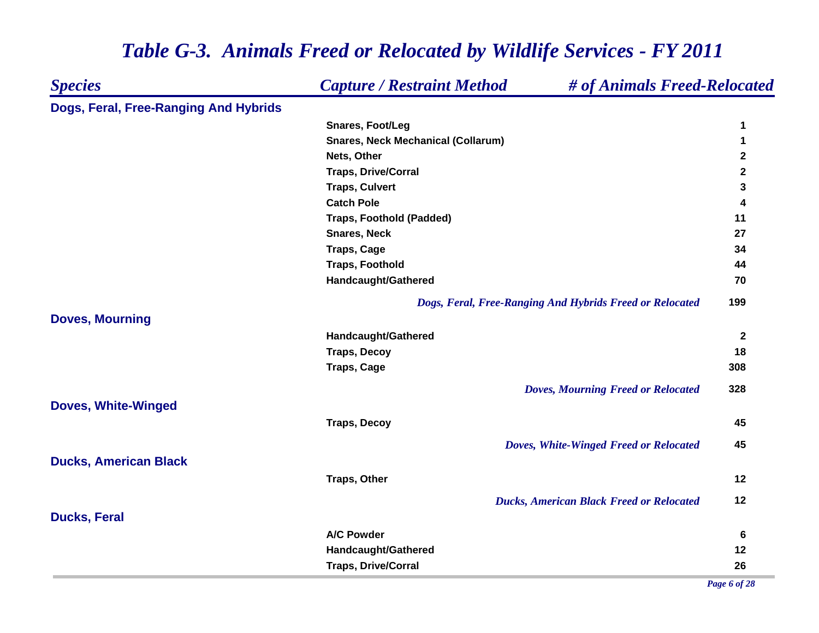| 1<br>1<br>$\boldsymbol{2}$<br>$\mathbf 2$<br>3<br>4<br>11<br>27<br>34 |
|-----------------------------------------------------------------------|
|                                                                       |
|                                                                       |
|                                                                       |
|                                                                       |
|                                                                       |
|                                                                       |
|                                                                       |
|                                                                       |
|                                                                       |
|                                                                       |
| 44                                                                    |
| 70                                                                    |
| 199                                                                   |
|                                                                       |
| $\mathbf{2}$                                                          |
| 18                                                                    |
| 308                                                                   |
| 328                                                                   |
|                                                                       |
| 45                                                                    |
| 45                                                                    |
|                                                                       |
| 12                                                                    |
| 12                                                                    |
|                                                                       |
| 6                                                                     |
| 12                                                                    |
| 26                                                                    |
|                                                                       |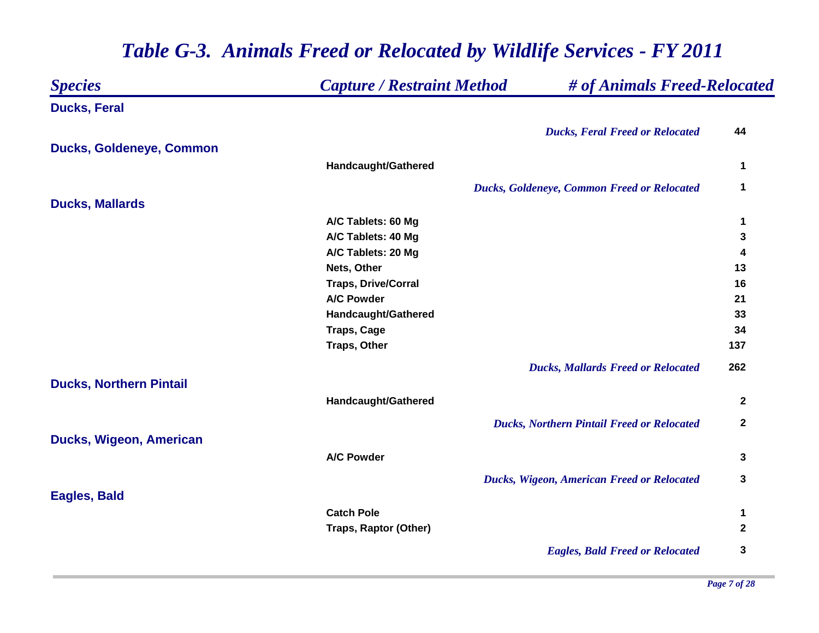| <b>Species</b>                  | <b>Capture / Restraint Method</b> | # of Animals Freed-Relocated                       |                  |
|---------------------------------|-----------------------------------|----------------------------------------------------|------------------|
| <b>Ducks, Feral</b>             |                                   |                                                    |                  |
|                                 |                                   | <b>Ducks, Feral Freed or Relocated</b>             | 44               |
| <b>Ducks, Goldeneye, Common</b> |                                   |                                                    |                  |
|                                 | Handcaught/Gathered               |                                                    | $\mathbf 1$      |
|                                 |                                   | <b>Ducks, Goldeneye, Common Freed or Relocated</b> | $\mathbf 1$      |
| <b>Ducks, Mallards</b>          |                                   |                                                    |                  |
|                                 | A/C Tablets: 60 Mg                |                                                    | 1                |
|                                 | A/C Tablets: 40 Mg                |                                                    | 3                |
|                                 | A/C Tablets: 20 Mg                |                                                    | 4                |
|                                 | Nets, Other                       |                                                    | 13               |
|                                 | <b>Traps, Drive/Corral</b>        |                                                    | 16               |
|                                 | <b>A/C Powder</b>                 |                                                    | 21               |
|                                 | Handcaught/Gathered               |                                                    | 33               |
|                                 | Traps, Cage                       |                                                    | 34               |
|                                 | Traps, Other                      |                                                    | 137              |
|                                 |                                   | <b>Ducks, Mallards Freed or Relocated</b>          | 262              |
| <b>Ducks, Northern Pintail</b>  |                                   |                                                    |                  |
|                                 | Handcaught/Gathered               |                                                    | $\mathbf{2}$     |
|                                 |                                   | <b>Ducks, Northern Pintail Freed or Relocated</b>  | $\boldsymbol{2}$ |
| Ducks, Wigeon, American         |                                   |                                                    |                  |
|                                 | <b>A/C Powder</b>                 |                                                    | 3                |
|                                 |                                   | <b>Ducks, Wigeon, American Freed or Relocated</b>  | 3                |
| <b>Eagles, Bald</b>             |                                   |                                                    |                  |
|                                 | <b>Catch Pole</b>                 |                                                    | 1                |
|                                 | <b>Traps, Raptor (Other)</b>      |                                                    | $\mathbf 2$      |
|                                 |                                   | <b>Eagles, Bald Freed or Relocated</b>             | 3                |
|                                 |                                   |                                                    |                  |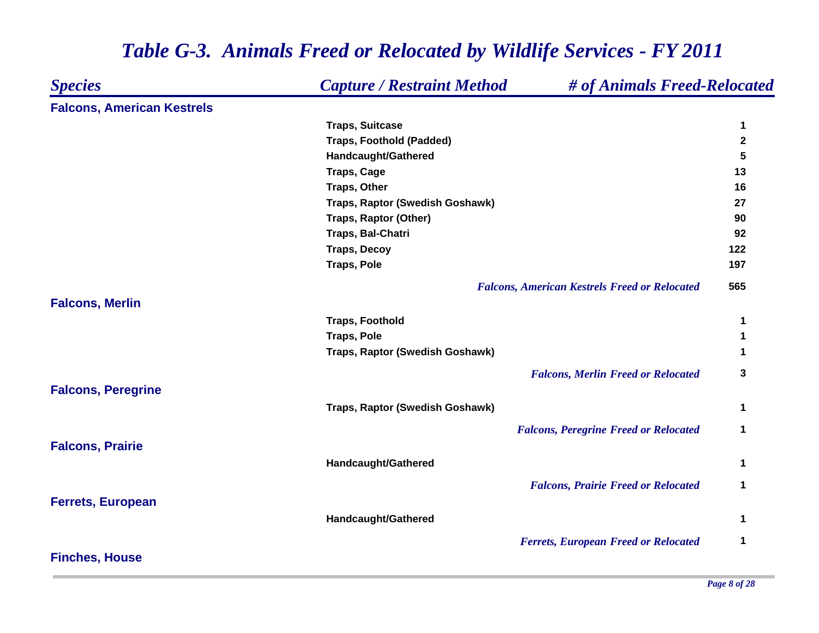| <b>Species</b>                    | <b>Capture / Restraint Method</b> | # of Animals Freed-Relocated                         |             |
|-----------------------------------|-----------------------------------|------------------------------------------------------|-------------|
| <b>Falcons, American Kestrels</b> |                                   |                                                      |             |
|                                   | <b>Traps, Suitcase</b>            |                                                      | 1           |
|                                   | <b>Traps, Foothold (Padded)</b>   |                                                      | $\mathbf 2$ |
|                                   | Handcaught/Gathered               |                                                      | 5           |
|                                   | <b>Traps, Cage</b>                |                                                      | 13          |
|                                   | <b>Traps, Other</b>               |                                                      | 16          |
|                                   | Traps, Raptor (Swedish Goshawk)   |                                                      | 27          |
|                                   | Traps, Raptor (Other)             |                                                      | 90          |
|                                   | Traps, Bal-Chatri                 |                                                      | 92          |
|                                   | <b>Traps, Decoy</b>               |                                                      | 122         |
|                                   | <b>Traps, Pole</b>                |                                                      | 197         |
|                                   |                                   | <b>Falcons, American Kestrels Freed or Relocated</b> | 565         |
| <b>Falcons, Merlin</b>            |                                   |                                                      |             |
|                                   | <b>Traps, Foothold</b>            |                                                      | 1           |
|                                   | <b>Traps, Pole</b>                |                                                      | 1           |
|                                   | Traps, Raptor (Swedish Goshawk)   |                                                      | 1           |
|                                   |                                   | <b>Falcons, Merlin Freed or Relocated</b>            | 3           |
| <b>Falcons, Peregrine</b>         |                                   |                                                      |             |
|                                   | Traps, Raptor (Swedish Goshawk)   |                                                      | 1           |
|                                   |                                   | <b>Falcons, Peregrine Freed or Relocated</b>         | 1           |
| <b>Falcons, Prairie</b>           |                                   |                                                      |             |
|                                   | Handcaught/Gathered               |                                                      | 1           |
|                                   |                                   |                                                      |             |
|                                   |                                   | <b>Falcons, Prairie Freed or Relocated</b>           | 1           |
| <b>Ferrets, European</b>          |                                   |                                                      |             |
|                                   | Handcaught/Gathered               |                                                      | 1           |
|                                   |                                   | <b>Ferrets, European Freed or Relocated</b>          | 1           |
| <b>Finches, House</b>             |                                   |                                                      |             |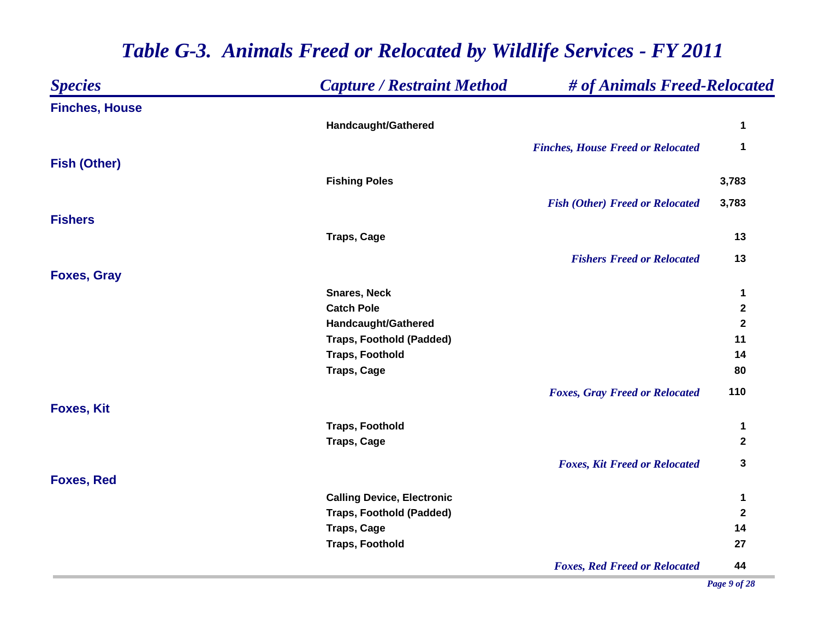| <b>Species</b>        | <b>Capture / Restraint Method</b>        | # of Animals Freed-Relocated             |                  |
|-----------------------|------------------------------------------|------------------------------------------|------------------|
| <b>Finches, House</b> |                                          |                                          |                  |
|                       | Handcaught/Gathered                      |                                          | 1                |
|                       |                                          | <b>Finches, House Freed or Relocated</b> | 1                |
| <b>Fish (Other)</b>   |                                          |                                          |                  |
|                       | <b>Fishing Poles</b>                     |                                          | 3,783            |
|                       |                                          | <b>Fish (Other) Freed or Relocated</b>   | 3,783            |
| <b>Fishers</b>        |                                          |                                          |                  |
|                       | <b>Traps, Cage</b>                       |                                          | 13               |
|                       |                                          |                                          |                  |
|                       |                                          | <b>Fishers Freed or Relocated</b>        | 13               |
| <b>Foxes, Gray</b>    |                                          |                                          |                  |
|                       | <b>Snares, Neck</b><br><b>Catch Pole</b> |                                          | 1<br>$\mathbf 2$ |
|                       | Handcaught/Gathered                      |                                          | $\mathbf 2$      |
|                       | <b>Traps, Foothold (Padded)</b>          |                                          | 11               |
|                       | <b>Traps, Foothold</b>                   |                                          | 14               |
|                       | Traps, Cage                              |                                          | 80               |
|                       |                                          |                                          | 110              |
| <b>Foxes, Kit</b>     |                                          | <b>Foxes, Gray Freed or Relocated</b>    |                  |
|                       | <b>Traps, Foothold</b>                   |                                          | 1                |
|                       | Traps, Cage                              |                                          | $\mathbf{2}$     |
|                       |                                          |                                          |                  |
|                       |                                          | <b>Foxes, Kit Freed or Relocated</b>     | 3                |
| <b>Foxes, Red</b>     |                                          |                                          |                  |
|                       | <b>Calling Device, Electronic</b>        |                                          | 1                |
|                       | <b>Traps, Foothold (Padded)</b>          |                                          | $\mathbf 2$      |
|                       | Traps, Cage                              |                                          | 14               |
|                       | <b>Traps, Foothold</b>                   |                                          | 27               |
|                       |                                          | <b>Foxes, Red Freed or Relocated</b>     | 44               |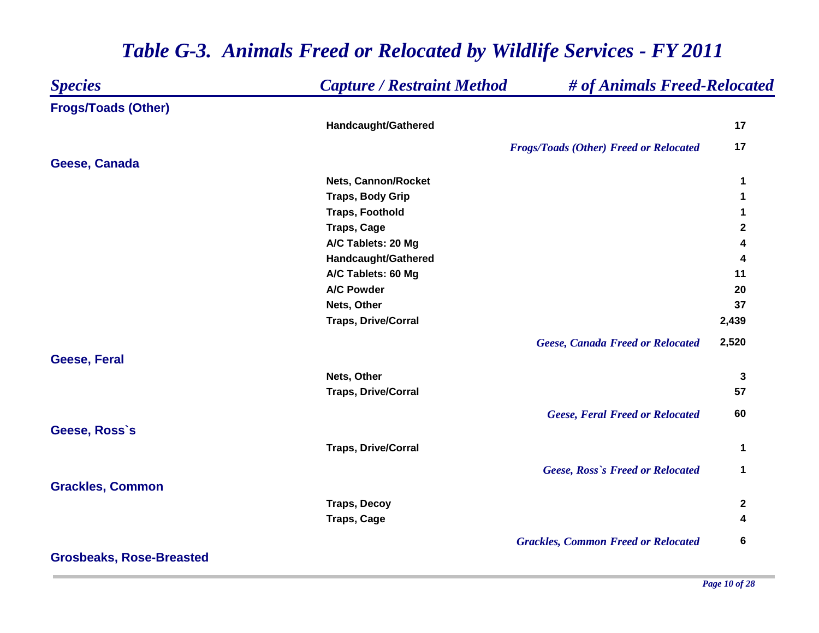| <b>Species</b>                  | <b>Capture / Restraint Method</b> | # of Animals Freed-Relocated                  |             |
|---------------------------------|-----------------------------------|-----------------------------------------------|-------------|
| <b>Frogs/Toads (Other)</b>      |                                   |                                               |             |
|                                 | Handcaught/Gathered               |                                               | 17          |
|                                 |                                   | <b>Frogs/Toads (Other) Freed or Relocated</b> | 17          |
| Geese, Canada                   |                                   |                                               |             |
|                                 | Nets, Cannon/Rocket               |                                               | 1           |
|                                 | <b>Traps, Body Grip</b>           |                                               | 1           |
|                                 | <b>Traps, Foothold</b>            |                                               | 1           |
|                                 | <b>Traps, Cage</b>                |                                               | $\mathbf 2$ |
|                                 | A/C Tablets: 20 Mg                |                                               | 4           |
|                                 | Handcaught/Gathered               |                                               | 4           |
|                                 | A/C Tablets: 60 Mg                |                                               | 11          |
|                                 | <b>A/C Powder</b>                 |                                               | 20          |
|                                 | Nets, Other                       |                                               | 37          |
|                                 | <b>Traps, Drive/Corral</b>        |                                               | 2,439       |
|                                 |                                   | <b>Geese, Canada Freed or Relocated</b>       | 2,520       |
| <b>Geese, Feral</b>             |                                   |                                               |             |
|                                 | Nets, Other                       |                                               | 3           |
|                                 | <b>Traps, Drive/Corral</b>        |                                               | 57          |
|                                 |                                   | <b>Geese, Feral Freed or Relocated</b>        | 60          |
| Geese, Ross's                   |                                   |                                               |             |
|                                 | <b>Traps, Drive/Corral</b>        |                                               | 1           |
|                                 |                                   | Geese, Ross's Freed or Relocated              | 1           |
| <b>Grackles, Common</b>         |                                   |                                               |             |
|                                 | <b>Traps, Decoy</b>               |                                               | $\mathbf 2$ |
|                                 | <b>Traps, Cage</b>                |                                               | 4           |
|                                 |                                   | <b>Grackles, Common Freed or Relocated</b>    | 6           |
| <b>Grosbeaks, Rose-Breasted</b> |                                   |                                               |             |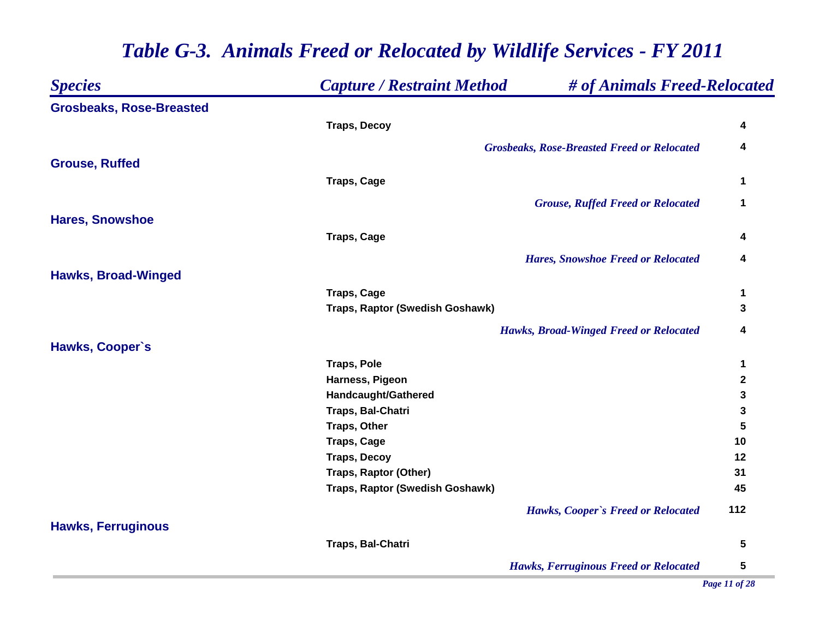#### *Species Capture / Restraint Method # of Animals Freed-Relocated* **Grosbeaks, Rose-Breasted Traps, Decoy 4***Grosbeaks, Rose-Breaste d Freed or Relocated* **4Grouse, Ruffed Traps, Cage 1** *Grouse, Ruffed Freed or Relocated* **1 Hares, Snowshoe Traps, Cage 4***Hares, Snowshoe Freed or Relocated* **4Hawks, Broad-Winged Traps, Cage 1 Traps, Raptor (Swedish Goshawk) 3** *Hawks, Broad-Winged Freed or Relocated***4Hawks, Cooper`s Traps, Pole 1 Harness, Pigeon 2Handcaught/Gathered 3 Traps, Bal-Chatri 3 Traps, Other 5Traps, Cage 10 Traps, Decoy 12 Traps, Raptor (Other) 31 Traps, Raptor (Swedish Goshawk) 45** *Hawks, Cooper`s Freed or Relocated* **112 Hawks, Ferruginous Traps, Bal-Chatri 5** *Hawks, Ferruginous Freed or Relocated* **5**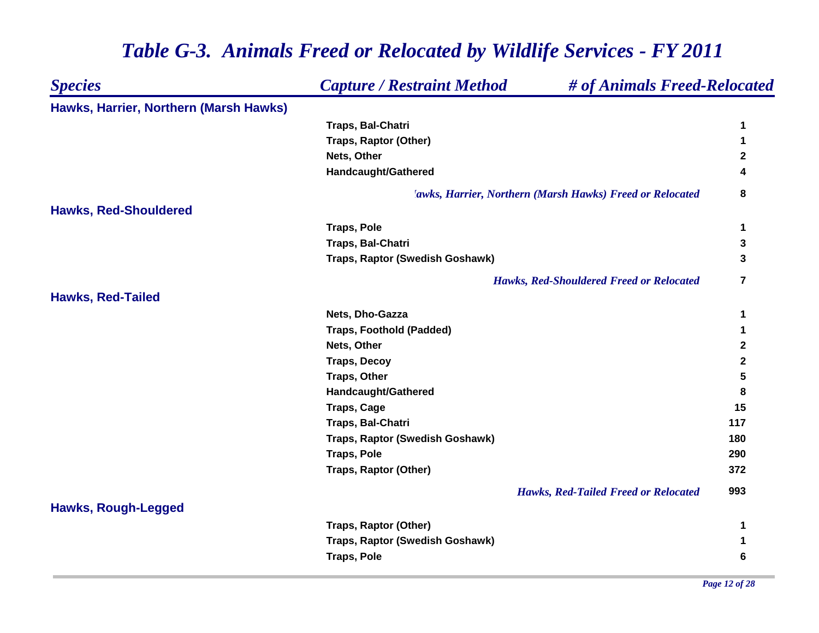| <b>Species</b>                         | <b>Capture / Restraint Method</b><br># of Animals Freed-Relocated |                |
|----------------------------------------|-------------------------------------------------------------------|----------------|
| Hawks, Harrier, Northern (Marsh Hawks) |                                                                   |                |
|                                        | Traps, Bal-Chatri                                                 | 1              |
|                                        | Traps, Raptor (Other)                                             | 1              |
|                                        | Nets, Other                                                       | $\mathbf{2}$   |
|                                        | Handcaught/Gathered                                               |                |
|                                        | <b>Tawks, Harrier, Northern (Marsh Hawks) Freed or Relocated</b>  | 8              |
| <b>Hawks, Red-Shouldered</b>           |                                                                   |                |
|                                        | <b>Traps, Pole</b>                                                | 1              |
|                                        | Traps, Bal-Chatri                                                 | 3              |
|                                        | Traps, Raptor (Swedish Goshawk)                                   | 3              |
|                                        | <b>Hawks, Red-Shouldered Freed or Relocated</b>                   | $\overline{7}$ |
| <b>Hawks, Red-Tailed</b>               |                                                                   |                |
|                                        | Nets, Dho-Gazza                                                   | 1              |
|                                        | <b>Traps, Foothold (Padded)</b>                                   | 1              |
|                                        | Nets, Other                                                       | $\mathbf 2$    |
|                                        | <b>Traps, Decoy</b>                                               | $\mathbf{2}$   |
|                                        | Traps, Other                                                      | 5              |
|                                        | Handcaught/Gathered                                               | 8              |
|                                        | <b>Traps, Cage</b>                                                | 15             |
|                                        | Traps, Bal-Chatri                                                 | 117            |
|                                        | Traps, Raptor (Swedish Goshawk)                                   | 180            |
|                                        | <b>Traps, Pole</b>                                                | 290            |
|                                        | <b>Traps, Raptor (Other)</b>                                      | 372            |
|                                        | <b>Hawks, Red-Tailed Freed or Relocated</b>                       | 993            |
| <b>Hawks, Rough-Legged</b>             |                                                                   |                |
|                                        | Traps, Raptor (Other)                                             | 1              |
|                                        | Traps, Raptor (Swedish Goshawk)                                   | 1              |
|                                        | <b>Traps, Pole</b>                                                | 6              |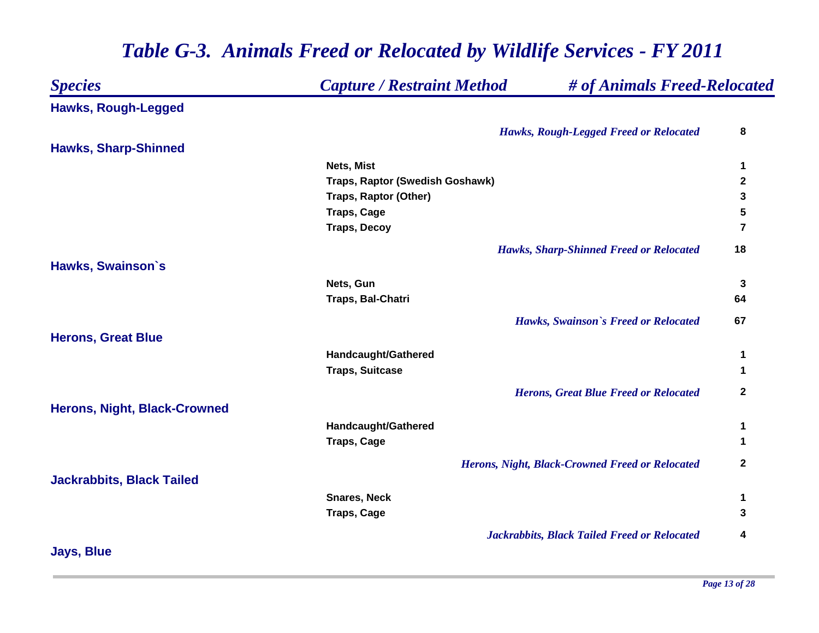| <b>Species</b>                   | <b>Capture / Restraint Method</b> | # of Animals Freed-Relocated                    |                  |
|----------------------------------|-----------------------------------|-------------------------------------------------|------------------|
| <b>Hawks, Rough-Legged</b>       |                                   |                                                 |                  |
|                                  |                                   | <b>Hawks, Rough-Legged Freed or Relocated</b>   | 8                |
| <b>Hawks, Sharp-Shinned</b>      |                                   |                                                 |                  |
|                                  | Nets, Mist                        |                                                 | 1                |
|                                  | Traps, Raptor (Swedish Goshawk)   |                                                 | $\boldsymbol{2}$ |
|                                  | Traps, Raptor (Other)             |                                                 | 3                |
|                                  | Traps, Cage                       |                                                 | 5                |
|                                  | <b>Traps, Decoy</b>               |                                                 | $\overline{7}$   |
|                                  |                                   | <b>Hawks, Sharp-Shinned Freed or Relocated</b>  | 18               |
| Hawks, Swainson's                |                                   |                                                 |                  |
|                                  | Nets, Gun                         |                                                 | 3                |
|                                  | Traps, Bal-Chatri                 |                                                 | 64               |
|                                  |                                   | Hawks, Swainson's Freed or Relocated            | 67               |
| <b>Herons, Great Blue</b>        |                                   |                                                 |                  |
|                                  | Handcaught/Gathered               |                                                 | 1                |
|                                  | <b>Traps, Suitcase</b>            |                                                 | 1                |
|                                  |                                   | <b>Herons, Great Blue Freed or Relocated</b>    | $\mathbf{2}$     |
| Herons, Night, Black-Crowned     |                                   |                                                 |                  |
|                                  | Handcaught/Gathered               |                                                 | 1                |
|                                  | <b>Traps, Cage</b>                |                                                 | 1                |
|                                  |                                   | Herons, Night, Black-Crowned Freed or Relocated | $\mathbf 2$      |
| <b>Jackrabbits, Black Tailed</b> |                                   |                                                 |                  |
|                                  | <b>Snares, Neck</b>               |                                                 | 1                |
|                                  | <b>Traps, Cage</b>                |                                                 | 3                |
|                                  |                                   | Jackrabbits, Black Tailed Freed or Relocated    | 4                |
| <b>Jays, Blue</b>                |                                   |                                                 |                  |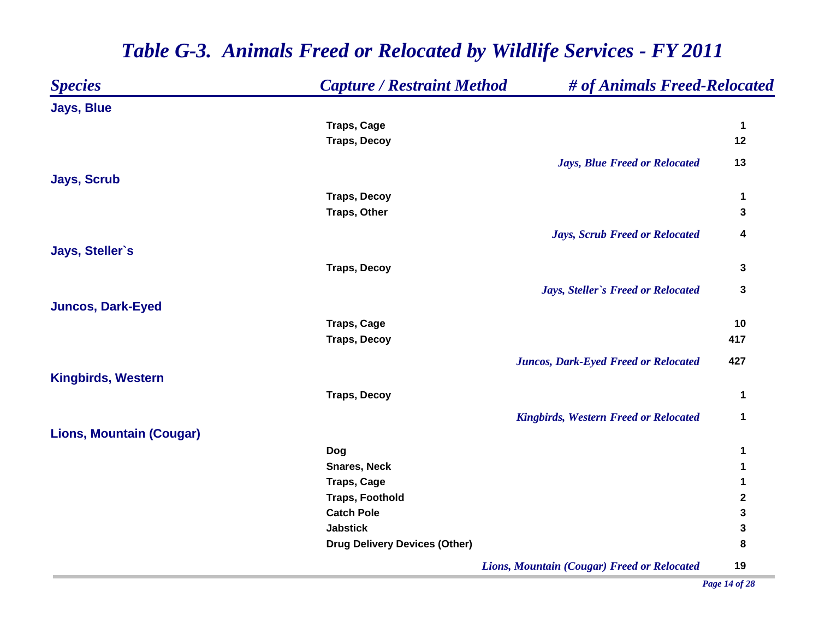| <b>Species</b>                  | <b>Capture / Restraint Method</b>    | # of Animals Freed-Relocated                 |              |
|---------------------------------|--------------------------------------|----------------------------------------------|--------------|
| <b>Jays, Blue</b>               |                                      |                                              |              |
|                                 | <b>Traps, Cage</b>                   |                                              | $\mathbf 1$  |
|                                 | <b>Traps, Decoy</b>                  |                                              | 12           |
|                                 |                                      | <b>Jays, Blue Freed or Relocated</b>         | 13           |
| <b>Jays, Scrub</b>              |                                      |                                              |              |
|                                 | <b>Traps, Decoy</b>                  |                                              | 1            |
|                                 | <b>Traps, Other</b>                  |                                              | 3            |
|                                 |                                      | <b>Jays, Scrub Freed or Relocated</b>        | 4            |
| Jays, Steller's                 |                                      |                                              |              |
|                                 | <b>Traps, Decoy</b>                  |                                              | 3            |
|                                 |                                      | Jays, Steller's Freed or Relocated           | $\mathbf{3}$ |
| <b>Juncos, Dark-Eyed</b>        |                                      |                                              |              |
|                                 | <b>Traps, Cage</b>                   |                                              | 10           |
|                                 | <b>Traps, Decoy</b>                  |                                              | 417          |
|                                 |                                      | <b>Juncos, Dark-Eyed Freed or Relocated</b>  | 427          |
| <b>Kingbirds, Western</b>       |                                      |                                              |              |
|                                 | <b>Traps, Decoy</b>                  |                                              | 1            |
|                                 |                                      | <b>Kingbirds, Western Freed or Relocated</b> | 1            |
| <b>Lions, Mountain (Cougar)</b> |                                      |                                              |              |
|                                 | <b>Dog</b>                           |                                              | 1            |
|                                 | <b>Snares, Neck</b>                  |                                              | 1            |
|                                 | Traps, Cage                          |                                              | 1            |
|                                 | <b>Traps, Foothold</b>               |                                              | $\mathbf 2$  |
|                                 | <b>Catch Pole</b>                    |                                              | 3            |
|                                 | <b>Jabstick</b>                      |                                              | 3            |
|                                 | <b>Drug Delivery Devices (Other)</b> |                                              | 8            |
|                                 |                                      | Lions, Mountain (Cougar) Freed or Relocated  | 19           |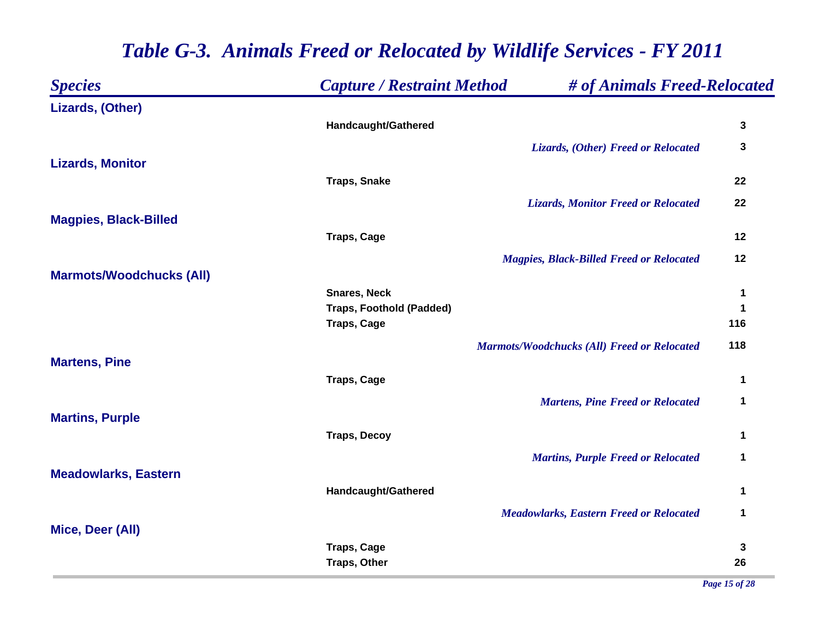| <b>Species</b>                  | <b>Capture / Restraint Method</b>                      | # of Animals Freed-Relocated                       |              |
|---------------------------------|--------------------------------------------------------|----------------------------------------------------|--------------|
| Lizards, (Other)                |                                                        |                                                    |              |
|                                 | Handcaught/Gathered                                    |                                                    | 3            |
|                                 |                                                        | Lizards, (Other) Freed or Relocated                | 3            |
| <b>Lizards, Monitor</b>         |                                                        |                                                    |              |
|                                 | <b>Traps, Snake</b>                                    |                                                    | 22           |
|                                 |                                                        | <b>Lizards, Monitor Freed or Relocated</b>         | 22           |
| <b>Magpies, Black-Billed</b>    |                                                        |                                                    |              |
|                                 | <b>Traps, Cage</b>                                     |                                                    | 12           |
|                                 |                                                        | <b>Magpies, Black-Billed Freed or Relocated</b>    | 12           |
| <b>Marmots/Woodchucks (All)</b> |                                                        |                                                    |              |
|                                 | <b>Snares, Neck</b><br><b>Traps, Foothold (Padded)</b> |                                                    | 1<br>1       |
|                                 | <b>Traps, Cage</b>                                     |                                                    | 116          |
|                                 |                                                        | <b>Marmots/Woodchucks (All) Freed or Relocated</b> | 118          |
| <b>Martens, Pine</b>            |                                                        |                                                    |              |
|                                 | <b>Traps, Cage</b>                                     |                                                    | 1            |
|                                 |                                                        | <b>Martens, Pine Freed or Relocated</b>            | $\mathbf{1}$ |
| <b>Martins, Purple</b>          |                                                        |                                                    |              |
|                                 | <b>Traps, Decoy</b>                                    |                                                    | 1            |
|                                 |                                                        | <b>Martins, Purple Freed or Relocated</b>          | $\mathbf{1}$ |
| <b>Meadowlarks, Eastern</b>     |                                                        |                                                    |              |
|                                 | Handcaught/Gathered                                    |                                                    | 1            |
|                                 |                                                        | <b>Meadowlarks, Eastern Freed or Relocated</b>     | 1            |
| Mice, Deer (All)                |                                                        |                                                    |              |
|                                 | <b>Traps, Cage</b><br>Traps, Other                     |                                                    | 3<br>26      |
|                                 |                                                        |                                                    |              |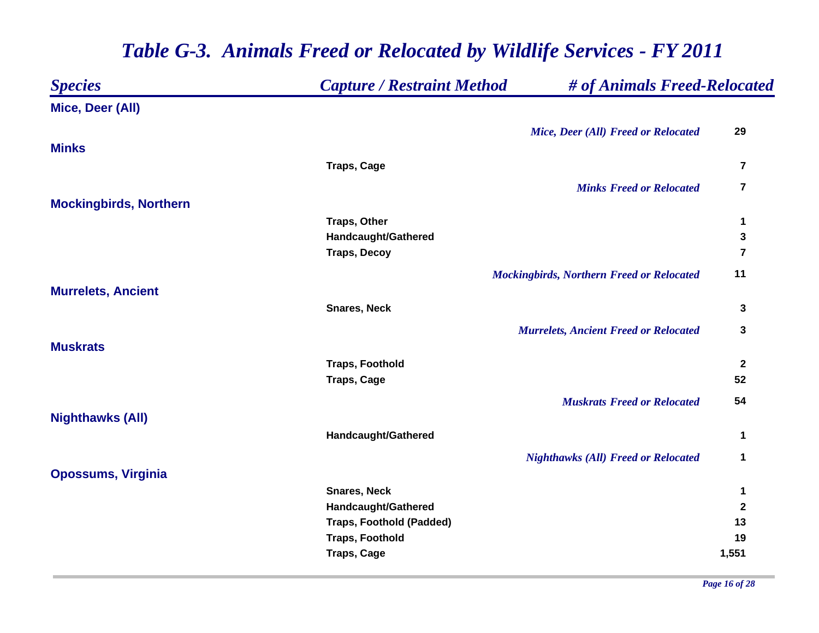| <b>Species</b>                | <b>Capture / Restraint Method</b> | # of Animals Freed-Relocated                     |                |
|-------------------------------|-----------------------------------|--------------------------------------------------|----------------|
| Mice, Deer (All)              |                                   |                                                  |                |
|                               |                                   | Mice, Deer (All) Freed or Relocated              | 29             |
| <b>Minks</b>                  |                                   |                                                  |                |
|                               | <b>Traps, Cage</b>                |                                                  | $\overline{7}$ |
|                               |                                   | <b>Minks Freed or Relocated</b>                  | $\overline{7}$ |
| <b>Mockingbirds, Northern</b> |                                   |                                                  |                |
|                               | Traps, Other                      |                                                  | 1              |
|                               | Handcaught/Gathered               |                                                  | 3              |
|                               | <b>Traps, Decoy</b>               |                                                  | $\overline{7}$ |
|                               |                                   | <b>Mockingbirds, Northern Freed or Relocated</b> | 11             |
| <b>Murrelets, Ancient</b>     |                                   |                                                  |                |
|                               | <b>Snares, Neck</b>               |                                                  | 3              |
|                               |                                   | <b>Murrelets, Ancient Freed or Relocated</b>     | 3              |
| <b>Muskrats</b>               |                                   |                                                  |                |
|                               | <b>Traps, Foothold</b>            |                                                  | $\mathbf{2}$   |
|                               | <b>Traps, Cage</b>                |                                                  | 52             |
|                               |                                   | <b>Muskrats Freed or Relocated</b>               | 54             |
| <b>Nighthawks (All)</b>       |                                   |                                                  |                |
|                               | Handcaught/Gathered               |                                                  | 1              |
|                               |                                   | <b>Nighthawks (All) Freed or Relocated</b>       | 1              |
| <b>Opossums, Virginia</b>     |                                   |                                                  |                |
|                               | <b>Snares, Neck</b>               |                                                  | 1              |
|                               | Handcaught/Gathered               |                                                  | 2              |
|                               | <b>Traps, Foothold (Padded)</b>   |                                                  | 13             |
|                               | <b>Traps, Foothold</b>            |                                                  | 19             |
|                               | <b>Traps, Cage</b>                |                                                  | 1,551          |
|                               |                                   |                                                  |                |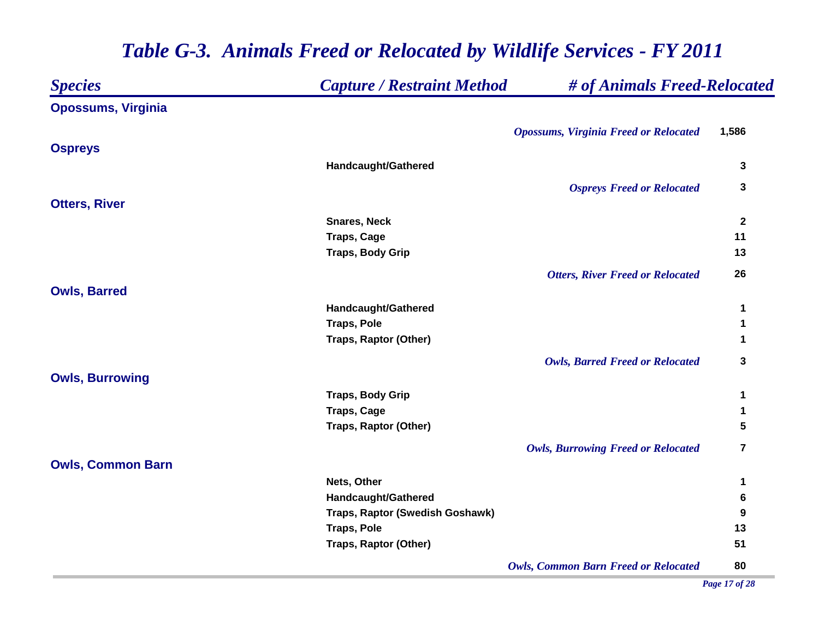| <b>Species</b>            | <b>Capture / Restraint Method</b> | # of Animals Freed-Relocated                 |                         |
|---------------------------|-----------------------------------|----------------------------------------------|-------------------------|
| <b>Opossums, Virginia</b> |                                   |                                              |                         |
|                           |                                   | <b>Opossums, Virginia Freed or Relocated</b> | 1,586                   |
| <b>Ospreys</b>            |                                   |                                              |                         |
|                           | Handcaught/Gathered               |                                              | 3                       |
|                           |                                   | <b>Ospreys Freed or Relocated</b>            | 3                       |
| <b>Otters, River</b>      |                                   |                                              |                         |
|                           | <b>Snares, Neck</b>               |                                              | $\mathbf{2}$            |
|                           | <b>Traps, Cage</b>                |                                              | 11                      |
|                           | <b>Traps, Body Grip</b>           |                                              | 13                      |
|                           |                                   | <b>Otters, River Freed or Relocated</b>      | 26                      |
| <b>Owls, Barred</b>       |                                   |                                              |                         |
|                           | Handcaught/Gathered               |                                              | 1                       |
|                           | <b>Traps, Pole</b>                |                                              | 1                       |
|                           | Traps, Raptor (Other)             |                                              | 1                       |
|                           |                                   | <b>Owls, Barred Freed or Relocated</b>       | 3                       |
| <b>Owls, Burrowing</b>    |                                   |                                              |                         |
|                           | <b>Traps, Body Grip</b>           |                                              | 1                       |
|                           | <b>Traps, Cage</b>                |                                              | 1                       |
|                           | Traps, Raptor (Other)             |                                              | 5                       |
|                           |                                   | <b>Owls, Burrowing Freed or Relocated</b>    | $\overline{\mathbf{7}}$ |
| <b>Owls, Common Barn</b>  |                                   |                                              |                         |
|                           | Nets, Other                       |                                              | 1                       |
|                           | Handcaught/Gathered               |                                              | 6                       |
|                           | Traps, Raptor (Swedish Goshawk)   |                                              | 9                       |
|                           | <b>Traps, Pole</b>                |                                              | 13                      |
|                           | <b>Traps, Raptor (Other)</b>      |                                              | 51                      |
|                           |                                   | <b>Owls, Common Barn Freed or Relocated</b>  | 80                      |

*Page 17 of 28*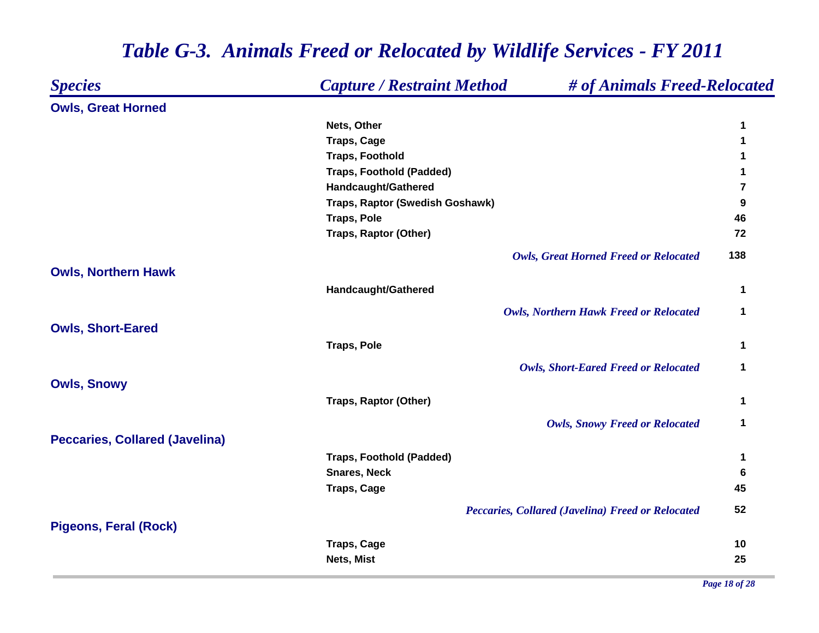#### *Species Capture / Restraint Method # of Animals Freed-Relocated* **Owls, Great Horned Nets, Other 1 Traps, Cage 1 Traps, Foothold 1 Traps, Foothold (Padded) 1 Handcaught/Gathered 7 Traps, Raptor (Swedish Goshawk) 9 Traps, Pole 46 Traps, Raptor (Other) 72** *Owls, Great Horned Freed or Relocated* **138 Owls, Northern Hawk Handcaught/Gathered 1** *Owls, Northern Hawk Freed or Relocated* **1 Owls, Short-Eared Traps, Pole 1** *Owls, Short-Eared Freed or Relocated* **1 Owls, Snowy Traps, Raptor (Other) 1** *Owls, Snowy Freed or Relocated* **1 Peccaries, Collared (Javelina) Traps, Foothold (Padded) 1 Snares, Neck 6Traps, Cage 45** *Peccaries, Collared (Javelina) Freed or Relocated* **52 Pigeons, Feral (Rock) Traps, Cage 10**

**Nets, Mist 25**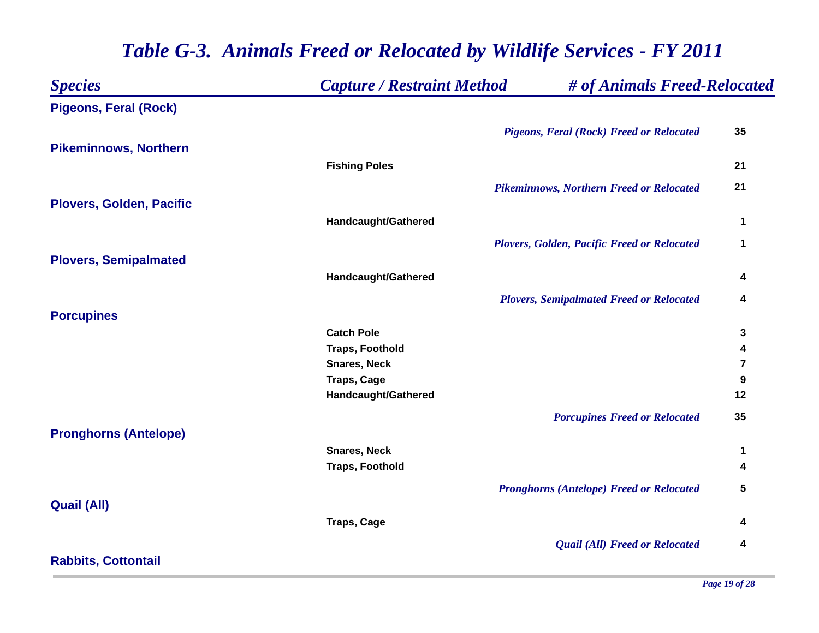|                        | # of Animals Freed-Relocated                                       |                                                                                                                                                                                                                                                                                                                                                                               |
|------------------------|--------------------------------------------------------------------|-------------------------------------------------------------------------------------------------------------------------------------------------------------------------------------------------------------------------------------------------------------------------------------------------------------------------------------------------------------------------------|
|                        |                                                                    |                                                                                                                                                                                                                                                                                                                                                                               |
|                        |                                                                    | 35                                                                                                                                                                                                                                                                                                                                                                            |
|                        |                                                                    |                                                                                                                                                                                                                                                                                                                                                                               |
| <b>Fishing Poles</b>   |                                                                    | 21                                                                                                                                                                                                                                                                                                                                                                            |
|                        |                                                                    | 21                                                                                                                                                                                                                                                                                                                                                                            |
|                        |                                                                    |                                                                                                                                                                                                                                                                                                                                                                               |
| Handcaught/Gathered    |                                                                    | 1                                                                                                                                                                                                                                                                                                                                                                             |
|                        |                                                                    | 1                                                                                                                                                                                                                                                                                                                                                                             |
|                        |                                                                    |                                                                                                                                                                                                                                                                                                                                                                               |
|                        |                                                                    | 4                                                                                                                                                                                                                                                                                                                                                                             |
|                        |                                                                    | 4                                                                                                                                                                                                                                                                                                                                                                             |
|                        |                                                                    |                                                                                                                                                                                                                                                                                                                                                                               |
|                        |                                                                    | 3                                                                                                                                                                                                                                                                                                                                                                             |
|                        |                                                                    | 4                                                                                                                                                                                                                                                                                                                                                                             |
| <b>Snares, Neck</b>    |                                                                    | $\overline{7}$                                                                                                                                                                                                                                                                                                                                                                |
| <b>Traps, Cage</b>     |                                                                    | 9                                                                                                                                                                                                                                                                                                                                                                             |
| Handcaught/Gathered    |                                                                    | 12                                                                                                                                                                                                                                                                                                                                                                            |
|                        |                                                                    | 35                                                                                                                                                                                                                                                                                                                                                                            |
|                        |                                                                    |                                                                                                                                                                                                                                                                                                                                                                               |
| <b>Snares, Neck</b>    |                                                                    | 1                                                                                                                                                                                                                                                                                                                                                                             |
| <b>Traps, Foothold</b> |                                                                    | 4                                                                                                                                                                                                                                                                                                                                                                             |
|                        |                                                                    | 5                                                                                                                                                                                                                                                                                                                                                                             |
|                        |                                                                    |                                                                                                                                                                                                                                                                                                                                                                               |
| <b>Traps, Cage</b>     |                                                                    | 4                                                                                                                                                                                                                                                                                                                                                                             |
|                        |                                                                    | 4                                                                                                                                                                                                                                                                                                                                                                             |
|                        |                                                                    |                                                                                                                                                                                                                                                                                                                                                                               |
|                        | Handcaught/Gathered<br><b>Catch Pole</b><br><b>Traps, Foothold</b> | <b>Capture / Restraint Method</b><br><b>Pigeons, Feral (Rock) Freed or Relocated</b><br><b>Pikeminnows, Northern Freed or Relocated</b><br>Plovers, Golden, Pacific Freed or Relocated<br><b>Plovers, Semipalmated Freed or Relocated</b><br><b>Porcupines Freed or Relocated</b><br><b>Pronghorns (Antelope) Freed or Relocated</b><br><b>Quail (All) Freed or Relocated</b> |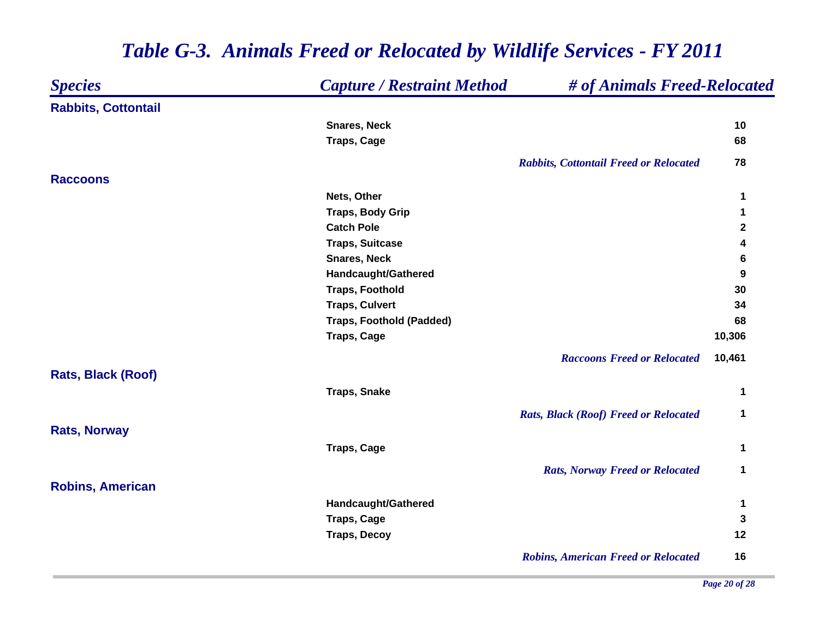| <b>Species</b>             | <b>Capture / Restraint Method</b> | # of Animals Freed-Relocated                  |             |
|----------------------------|-----------------------------------|-----------------------------------------------|-------------|
| <b>Rabbits, Cottontail</b> |                                   |                                               |             |
|                            | <b>Snares, Neck</b>               |                                               | 10          |
|                            | <b>Traps, Cage</b>                |                                               | 68          |
|                            |                                   | <b>Rabbits, Cottontail Freed or Relocated</b> | 78          |
| <b>Raccoons</b>            |                                   |                                               |             |
|                            | Nets, Other                       |                                               | 1           |
|                            | <b>Traps, Body Grip</b>           |                                               | 1           |
|                            | <b>Catch Pole</b>                 |                                               | $\mathbf 2$ |
|                            | <b>Traps, Suitcase</b>            |                                               | 4           |
|                            | <b>Snares, Neck</b>               |                                               | 6           |
|                            | Handcaught/Gathered               |                                               | 9           |
|                            | <b>Traps, Foothold</b>            |                                               | 30          |
|                            | <b>Traps, Culvert</b>             |                                               | 34          |
|                            | <b>Traps, Foothold (Padded)</b>   |                                               | 68          |
|                            | <b>Traps, Cage</b>                |                                               | 10,306      |
|                            |                                   | <b>Raccoons Freed or Relocated</b>            | 10,461      |
| Rats, Black (Roof)         |                                   |                                               |             |
|                            | <b>Traps, Snake</b>               |                                               | 1           |
|                            |                                   | <b>Rats, Black (Roof) Freed or Relocated</b>  | 1           |
| <b>Rats, Norway</b>        |                                   |                                               |             |
|                            | <b>Traps, Cage</b>                |                                               | 1           |
|                            |                                   | <b>Rats, Norway Freed or Relocated</b>        | 1           |
| <b>Robins, American</b>    |                                   |                                               |             |
|                            | Handcaught/Gathered               |                                               | 1           |
|                            | <b>Traps, Cage</b>                |                                               | 3           |
|                            | <b>Traps, Decoy</b>               |                                               | 12          |
|                            |                                   | <b>Robins, American Freed or Relocated</b>    | 16          |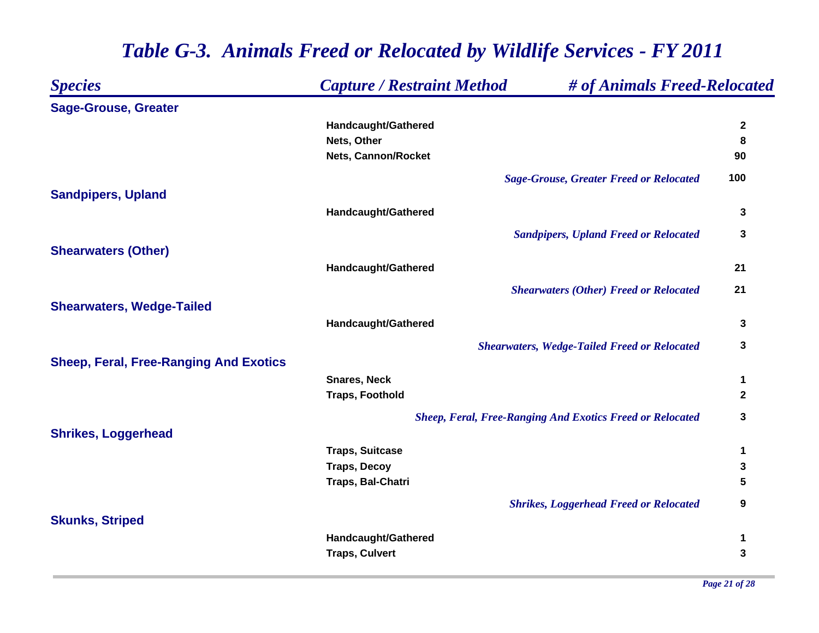| <b>Species</b>                                | <b>Capture / Restraint Method</b> | # of Animals Freed-Relocated                                     |                  |
|-----------------------------------------------|-----------------------------------|------------------------------------------------------------------|------------------|
| <b>Sage-Grouse, Greater</b>                   |                                   |                                                                  |                  |
|                                               | Handcaught/Gathered               |                                                                  | $\boldsymbol{2}$ |
|                                               | Nets, Other                       |                                                                  | 8                |
|                                               | Nets, Cannon/Rocket               |                                                                  | 90               |
|                                               |                                   | <b>Sage-Grouse, Greater Freed or Relocated</b>                   | 100              |
| <b>Sandpipers, Upland</b>                     |                                   |                                                                  |                  |
|                                               | Handcaught/Gathered               |                                                                  | 3                |
|                                               |                                   | <b>Sandpipers, Upland Freed or Relocated</b>                     | $\mathbf 3$      |
| <b>Shearwaters (Other)</b>                    |                                   |                                                                  |                  |
|                                               | Handcaught/Gathered               |                                                                  | 21               |
|                                               |                                   | <b>Shearwaters (Other) Freed or Relocated</b>                    | 21               |
| <b>Shearwaters, Wedge-Tailed</b>              |                                   |                                                                  |                  |
|                                               | Handcaught/Gathered               |                                                                  | 3                |
|                                               |                                   | <b>Shearwaters, Wedge-Tailed Freed or Relocated</b>              | 3                |
| <b>Sheep, Feral, Free-Ranging And Exotics</b> |                                   |                                                                  |                  |
|                                               | <b>Snares, Neck</b>               |                                                                  | $\mathbf 1$      |
|                                               | <b>Traps, Foothold</b>            |                                                                  | $\boldsymbol{2}$ |
|                                               |                                   | <b>Sheep, Feral, Free-Ranging And Exotics Freed or Relocated</b> | 3                |
| <b>Shrikes, Loggerhead</b>                    |                                   |                                                                  |                  |
|                                               | <b>Traps, Suitcase</b>            |                                                                  | 1                |
|                                               | <b>Traps, Decoy</b>               |                                                                  | 3                |
|                                               | Traps, Bal-Chatri                 |                                                                  | 5                |
|                                               |                                   | <b>Shrikes, Loggerhead Freed or Relocated</b>                    | $\boldsymbol{9}$ |
| <b>Skunks, Striped</b>                        |                                   |                                                                  |                  |
|                                               | Handcaught/Gathered               |                                                                  | 1                |
|                                               | <b>Traps, Culvert</b>             |                                                                  | 3                |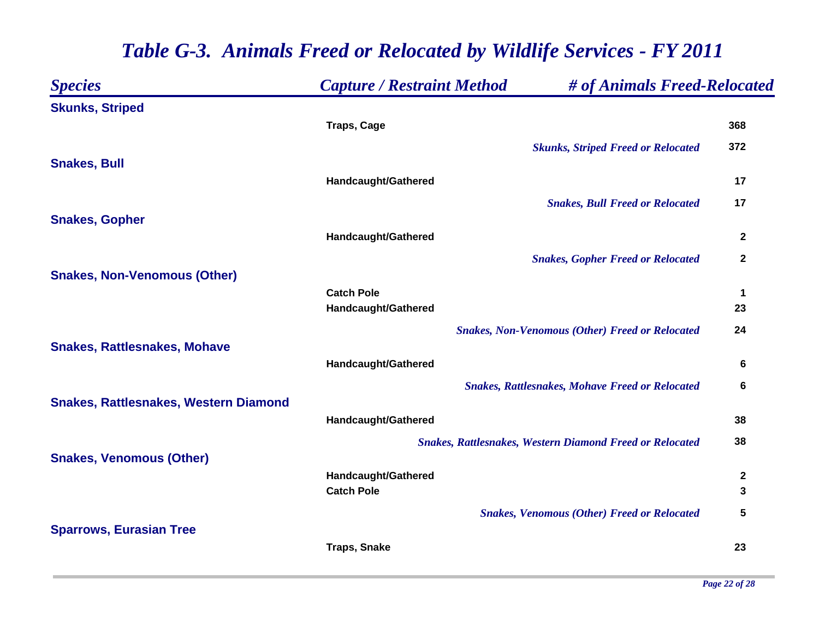| <b>Species</b>                               | <b>Capture / Restraint Method</b> | # of Animals Freed-Relocated                                    |                  |
|----------------------------------------------|-----------------------------------|-----------------------------------------------------------------|------------------|
| <b>Skunks, Striped</b>                       |                                   |                                                                 |                  |
|                                              | <b>Traps, Cage</b>                |                                                                 | 368              |
|                                              |                                   | <b>Skunks, Striped Freed or Relocated</b>                       | 372              |
| <b>Snakes, Bull</b>                          |                                   |                                                                 |                  |
|                                              | Handcaught/Gathered               |                                                                 | 17               |
|                                              |                                   | <b>Snakes, Bull Freed or Relocated</b>                          | 17               |
| <b>Snakes, Gopher</b>                        | Handcaught/Gathered               |                                                                 | $\mathbf 2$      |
|                                              |                                   |                                                                 | $\mathbf 2$      |
| <b>Snakes, Non-Venomous (Other)</b>          |                                   | <b>Snakes, Gopher Freed or Relocated</b>                        |                  |
|                                              | <b>Catch Pole</b>                 |                                                                 | $\mathbf 1$      |
|                                              | Handcaught/Gathered               |                                                                 | 23               |
|                                              |                                   | <b>Snakes, Non-Venomous (Other) Freed or Relocated</b>          | 24               |
| <b>Snakes, Rattlesnakes, Mohave</b>          |                                   |                                                                 |                  |
|                                              | Handcaught/Gathered               |                                                                 | $6\phantom{1}6$  |
|                                              |                                   | <b>Snakes, Rattlesnakes, Mohave Freed or Relocated</b>          | 6                |
| <b>Snakes, Rattlesnakes, Western Diamond</b> | Handcaught/Gathered               |                                                                 | 38               |
|                                              |                                   |                                                                 | 38               |
| <b>Snakes, Venomous (Other)</b>              |                                   | <b>Snakes, Rattlesnakes, Western Diamond Freed or Relocated</b> |                  |
|                                              | Handcaught/Gathered               |                                                                 | $\boldsymbol{2}$ |
|                                              | <b>Catch Pole</b>                 |                                                                 | 3                |
|                                              |                                   | <b>Snakes, Venomous (Other) Freed or Relocated</b>              | 5                |
| <b>Sparrows, Eurasian Tree</b>               |                                   |                                                                 |                  |
|                                              | <b>Traps, Snake</b>               |                                                                 | 23               |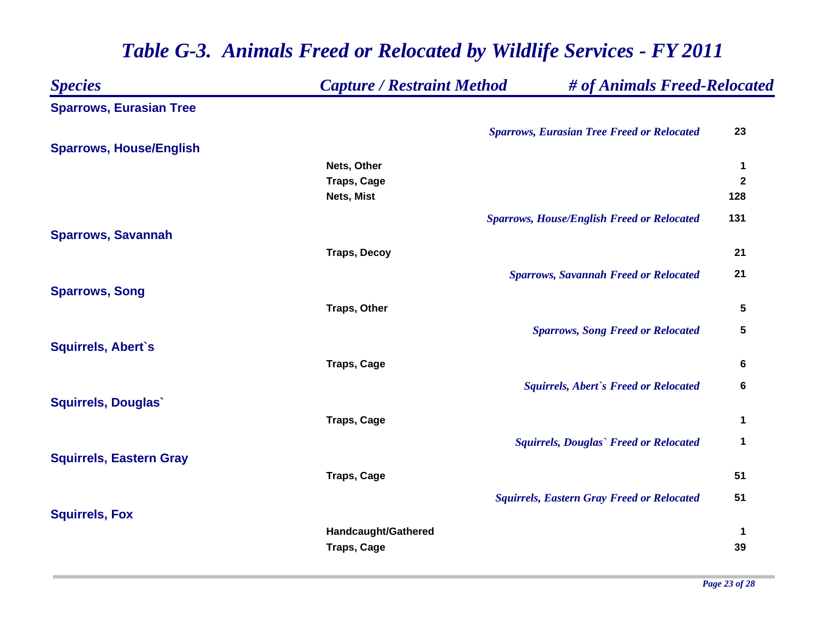| <b>Species</b>                 | <b>Capture / Restraint Method</b> | # of Animals Freed-Relocated                      |              |
|--------------------------------|-----------------------------------|---------------------------------------------------|--------------|
| <b>Sparrows, Eurasian Tree</b> |                                   |                                                   |              |
|                                |                                   | <b>Sparrows, Eurasian Tree Freed or Relocated</b> | 23           |
| <b>Sparrows, House/English</b> |                                   |                                                   |              |
|                                | Nets, Other                       |                                                   | $\mathbf 1$  |
|                                | <b>Traps, Cage</b>                |                                                   | $\mathbf 2$  |
|                                | Nets, Mist                        |                                                   | 128          |
|                                |                                   | <b>Sparrows, House/English Freed or Relocated</b> | 131          |
| <b>Sparrows, Savannah</b>      |                                   |                                                   |              |
|                                | <b>Traps, Decoy</b>               |                                                   | 21           |
|                                |                                   | <b>Sparrows, Savannah Freed or Relocated</b>      | 21           |
| <b>Sparrows, Song</b>          |                                   |                                                   |              |
|                                | Traps, Other                      |                                                   | 5            |
|                                |                                   | <b>Sparrows, Song Freed or Relocated</b>          | 5            |
| <b>Squirrels, Abert's</b>      |                                   |                                                   |              |
|                                | <b>Traps, Cage</b>                |                                                   | 6            |
|                                |                                   | <b>Squirrels, Abert's Freed or Relocated</b>      | 6            |
| <b>Squirrels, Douglas</b>      |                                   |                                                   |              |
|                                | <b>Traps, Cage</b>                |                                                   | 1            |
|                                |                                   | <b>Squirrels, Douglas' Freed or Relocated</b>     | $\mathbf{1}$ |
| <b>Squirrels, Eastern Gray</b> |                                   |                                                   |              |
|                                | <b>Traps, Cage</b>                |                                                   | 51           |
|                                |                                   | <b>Squirrels, Eastern Gray Freed or Relocated</b> | 51           |
| <b>Squirrels, Fox</b>          |                                   |                                                   |              |
|                                | Handcaught/Gathered               |                                                   | $\mathbf 1$  |
|                                | <b>Traps, Cage</b>                |                                                   | 39           |
|                                |                                   |                                                   |              |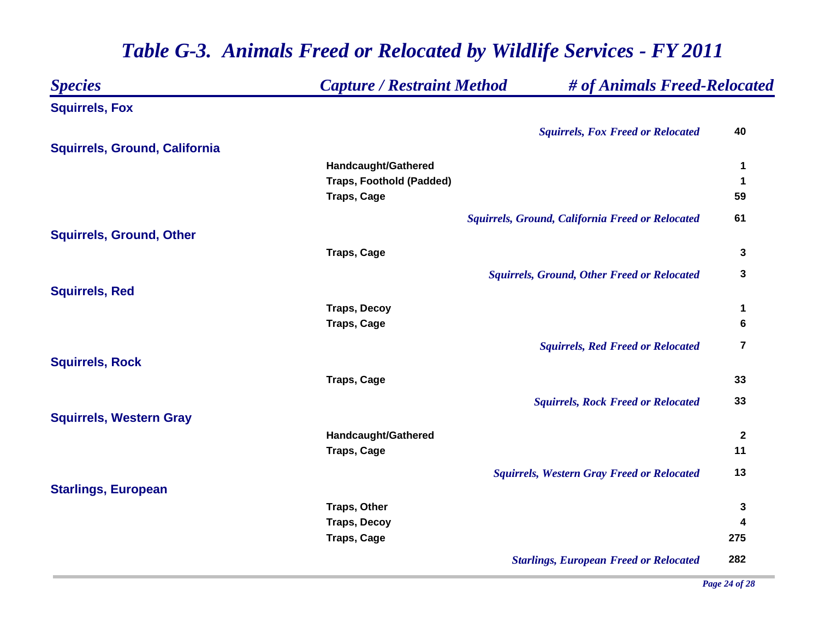| <b>Species</b>                       | <b>Capture / Restraint Method</b> | # of Animals Freed-Relocated                            |                |
|--------------------------------------|-----------------------------------|---------------------------------------------------------|----------------|
| <b>Squirrels, Fox</b>                |                                   |                                                         |                |
|                                      |                                   | <b>Squirrels, Fox Freed or Relocated</b>                | 40             |
| <b>Squirrels, Ground, California</b> |                                   |                                                         |                |
|                                      | Handcaught/Gathered               |                                                         | 1              |
|                                      | <b>Traps, Foothold (Padded)</b>   |                                                         | $\mathbf 1$    |
|                                      | <b>Traps, Cage</b>                |                                                         | 59             |
|                                      |                                   | <b>Squirrels, Ground, California Freed or Relocated</b> | 61             |
| <b>Squirrels, Ground, Other</b>      |                                   |                                                         |                |
|                                      | <b>Traps, Cage</b>                |                                                         | 3              |
|                                      |                                   | <b>Squirrels, Ground, Other Freed or Relocated</b>      | 3              |
| <b>Squirrels, Red</b>                |                                   |                                                         |                |
|                                      | <b>Traps, Decoy</b>               |                                                         | 1              |
|                                      | <b>Traps, Cage</b>                |                                                         | 6              |
|                                      |                                   | <b>Squirrels, Red Freed or Relocated</b>                | $\overline{7}$ |
| <b>Squirrels, Rock</b>               |                                   |                                                         |                |
|                                      | <b>Traps, Cage</b>                |                                                         | 33             |
|                                      |                                   | <b>Squirrels, Rock Freed or Relocated</b>               | 33             |
| <b>Squirrels, Western Gray</b>       |                                   |                                                         |                |
|                                      | Handcaught/Gathered               |                                                         | $\mathbf{2}$   |
|                                      | <b>Traps, Cage</b>                |                                                         | 11             |
|                                      |                                   | <b>Squirrels, Western Gray Freed or Relocated</b>       | 13             |
| <b>Starlings, European</b>           |                                   |                                                         |                |
|                                      | Traps, Other                      |                                                         | 3              |
|                                      | <b>Traps, Decoy</b>               |                                                         | 4              |
|                                      | <b>Traps, Cage</b>                |                                                         | 275            |
|                                      |                                   | <b>Starlings, European Freed or Relocated</b>           | 282            |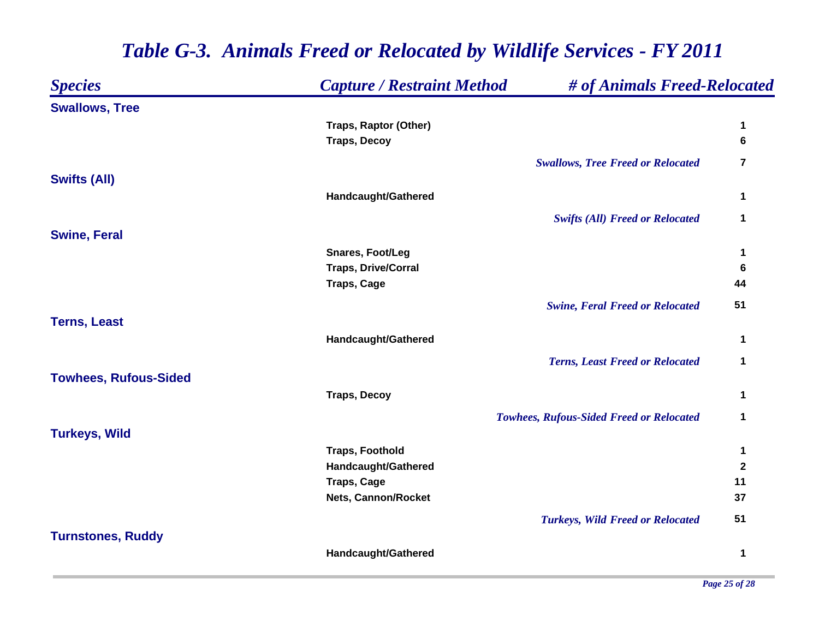#### *Species Capture / Restraint Method # of Animals Freed-Relocated* **Swallows, Tree Traps, Raptor (Other) 1 Traps, Decoy 6***Swallows, Tree Freed or Relocated* **7Swifts (All) Handcaught/Gathered 1** *Swifts (All) Freed or Relocated* **1 Swine, Feral Snares, Foot/Leg 1 Traps, Drive/Corral 6 Traps, Cage 44** *Swine, Feral Freed or Relocated* **51 Terns, Least Handcaught/Gathered 1** *Terns, Least Freed or Relocated* **1 Towhees, Rufous-Sided Traps, Decoy 1** *Towhees, Rufous-Side dFreed or Relocated* **1 Turkeys, Wild Traps, Foothold 1 Handcaught/Gathered 2 Traps, Cage 11 Nets, Cannon/Rocket 37** *Turkeys, Wild Freed or Relocated* **51 Turnstones, Ruddy Handcaught/Gathered 1**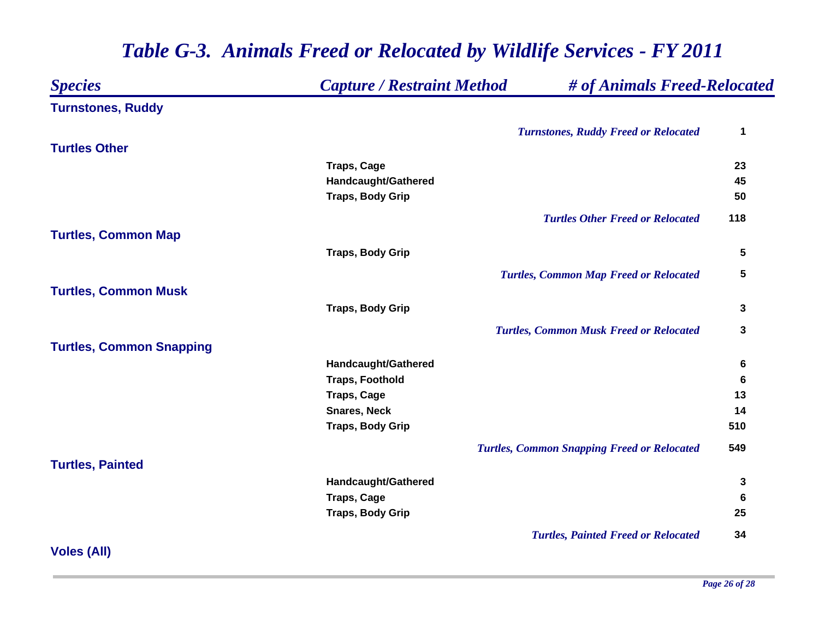| <b>Species</b>                  | <b>Capture / Restraint Method</b> | # of Animals Freed-Relocated                       |                 |
|---------------------------------|-----------------------------------|----------------------------------------------------|-----------------|
| <b>Turnstones, Ruddy</b>        |                                   |                                                    |                 |
|                                 |                                   | <b>Turnstones, Ruddy Freed or Relocated</b>        | 1               |
| <b>Turtles Other</b>            |                                   |                                                    |                 |
|                                 | <b>Traps, Cage</b>                |                                                    | 23              |
|                                 | Handcaught/Gathered               |                                                    | 45              |
|                                 | <b>Traps, Body Grip</b>           |                                                    | 50              |
|                                 |                                   | <b>Turtles Other Freed or Relocated</b>            | 118             |
| <b>Turtles, Common Map</b>      |                                   |                                                    |                 |
|                                 | <b>Traps, Body Grip</b>           |                                                    | 5               |
|                                 |                                   | <b>Turtles, Common Map Freed or Relocated</b>      | $5\phantom{.0}$ |
| <b>Turtles, Common Musk</b>     |                                   |                                                    |                 |
|                                 | <b>Traps, Body Grip</b>           |                                                    | $\mathbf 3$     |
|                                 |                                   | <b>Turtles, Common Musk Freed or Relocated</b>     | $\mathbf 3$     |
| <b>Turtles, Common Snapping</b> |                                   |                                                    |                 |
|                                 | Handcaught/Gathered               |                                                    | 6               |
|                                 | <b>Traps, Foothold</b>            |                                                    | 6               |
|                                 | <b>Traps, Cage</b>                |                                                    | 13              |
|                                 | <b>Snares, Neck</b>               |                                                    | 14              |
|                                 | <b>Traps, Body Grip</b>           |                                                    | 510             |
|                                 |                                   | <b>Turtles, Common Snapping Freed or Relocated</b> | 549             |
| <b>Turtles, Painted</b>         |                                   |                                                    |                 |
|                                 | Handcaught/Gathered               |                                                    | 3               |
|                                 | <b>Traps, Cage</b>                |                                                    | 6               |
|                                 | <b>Traps, Body Grip</b>           |                                                    | 25              |
|                                 |                                   | <b>Turtles, Painted Freed or Relocated</b>         | 34              |
| <b>Voles (All)</b>              |                                   |                                                    |                 |

*Page 26 of 28*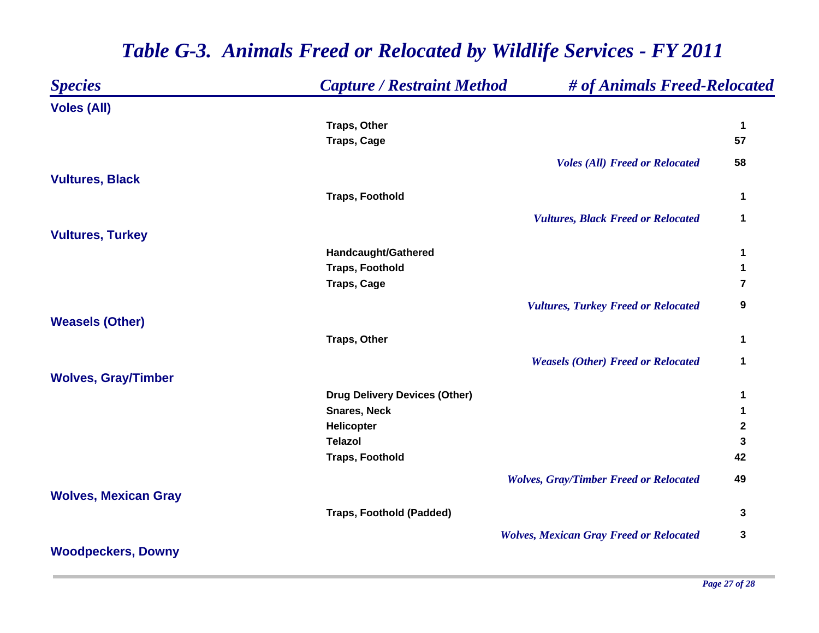| <b>Species</b>              | <b>Capture / Restraint Method</b>    | # of Animals Freed-Relocated                   |                      |
|-----------------------------|--------------------------------------|------------------------------------------------|----------------------|
| <b>Voles (All)</b>          |                                      |                                                |                      |
|                             | Traps, Other                         |                                                | $\blacktriangleleft$ |
|                             | <b>Traps, Cage</b>                   |                                                | 57                   |
|                             |                                      | <b>Voles (All) Freed or Relocated</b>          | 58                   |
| <b>Vultures, Black</b>      |                                      |                                                |                      |
|                             | <b>Traps, Foothold</b>               |                                                | 1                    |
|                             |                                      | <b>Vultures, Black Freed or Relocated</b>      | 1                    |
| <b>Vultures, Turkey</b>     |                                      |                                                |                      |
|                             | Handcaught/Gathered                  |                                                | 1                    |
|                             | <b>Traps, Foothold</b>               |                                                | 1                    |
|                             | <b>Traps, Cage</b>                   |                                                | 7                    |
|                             |                                      | <b>Vultures, Turkey Freed or Relocated</b>     | 9                    |
| <b>Weasels (Other)</b>      |                                      |                                                |                      |
|                             | Traps, Other                         |                                                | 1                    |
|                             |                                      | <b>Weasels (Other) Freed or Relocated</b>      | 1                    |
| <b>Wolves, Gray/Timber</b>  |                                      |                                                |                      |
|                             | <b>Drug Delivery Devices (Other)</b> |                                                | 1                    |
|                             | <b>Snares, Neck</b>                  |                                                | 1                    |
|                             | Helicopter                           |                                                | $\mathbf 2$          |
|                             | <b>Telazol</b>                       |                                                | 3                    |
|                             | <b>Traps, Foothold</b>               |                                                | 42                   |
|                             |                                      | <b>Wolves, Gray/Timber Freed or Relocated</b>  | 49                   |
| <b>Wolves, Mexican Gray</b> |                                      |                                                |                      |
|                             | <b>Traps, Foothold (Padded)</b>      |                                                | 3                    |
|                             |                                      | <b>Wolves, Mexican Gray Freed or Relocated</b> | 3                    |
| <b>Woodpeckers, Downy</b>   |                                      |                                                |                      |